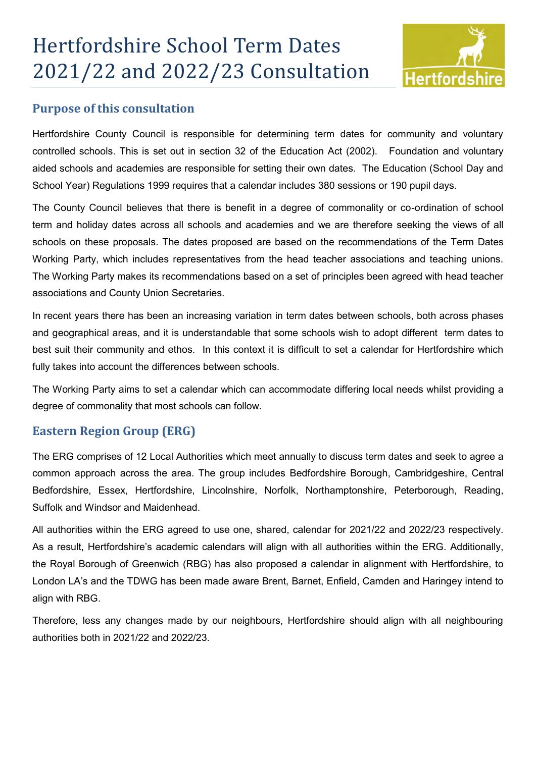

## **Purpose of this consultation**

Hertfordshire County Council is responsible for determining term dates for community and voluntary controlled schools. This is set out in section 32 of the Education Act (2002). Foundation and voluntary aided schools and academies are responsible for setting their own dates. The Education (School Day and School Year) Regulations 1999 requires that a calendar includes 380 sessions or 190 pupil days.

The County Council believes that there is benefit in a degree of commonality or co-ordination of school term and holiday dates across all schools and academies and we are therefore seeking the views of all schools on these proposals. The dates proposed are based on the recommendations of the Term Dates Working Party, which includes representatives from the head teacher associations and teaching unions. The Working Party makes its recommendations based on a set of principles been agreed with head teacher associations and County Union Secretaries.

In recent years there has been an increasing variation in term dates between schools, both across phases and geographical areas, and it is understandable that some schools wish to adopt different term dates to best suit their community and ethos. In this context it is difficult to set a calendar for Hertfordshire which fully takes into account the differences between schools.

The Working Party aims to set a calendar which can accommodate differing local needs whilst providing a degree of commonality that most schools can follow.

## **Eastern Region Group (ERG)**

The ERG comprises of 12 Local Authorities which meet annually to discuss term dates and seek to agree a common approach across the area. The group includes Bedfordshire Borough, Cambridgeshire, Central Bedfordshire, Essex, Hertfordshire, Lincolnshire, Norfolk, Northamptonshire, Peterborough, Reading, Suffolk and Windsor and Maidenhead.

All authorities within the ERG agreed to use one, shared, calendar for 2021/22 and 2022/23 respectively. As a result, Hertfordshire's academic calendars will align with all authorities within the ERG. Additionally, the Royal Borough of Greenwich (RBG) has also proposed a calendar in alignment with Hertfordshire, to London LA's and the TDWG has been made aware Brent, Barnet, Enfield, Camden and Haringey intend to align with RBG.

Therefore, less any changes made by our neighbours, Hertfordshire should align with all neighbouring authorities both in 2021/22 and 2022/23.